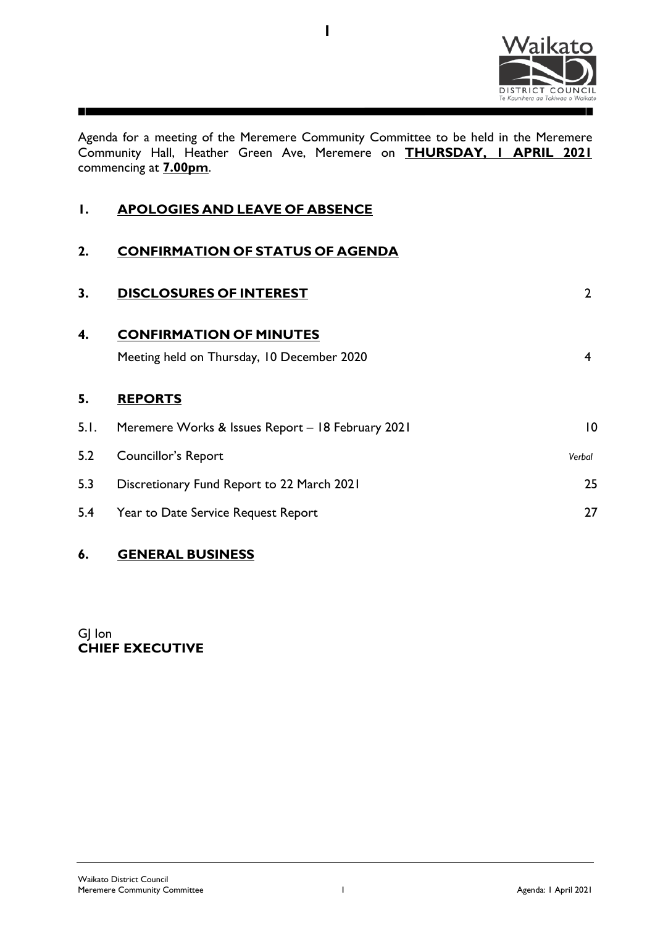

Agenda for a meeting of the Meremere Community Committee to be held in the Meremere Community Hall, Heather Green Ave, Meremere on **THURSDAY, 1 APRIL 2021** commencing at **7.00pm**.

**1**

| I.     | APOLOGIES AND LEAVE OF ABSENCE                                               |                |
|--------|------------------------------------------------------------------------------|----------------|
| 2.     | <b>CONFIRMATION OF STATUS OF AGENDA</b>                                      |                |
| 3.     | <b>DISCLOSURES OF INTEREST</b>                                               | $\overline{2}$ |
| 4.     | <b>CONFIRMATION OF MINUTES</b><br>Meeting held on Thursday, 10 December 2020 | $\overline{4}$ |
| 5.     | <b>REPORTS</b>                                                               |                |
| 5. I . | Meremere Works & Issues Report - 18 February 2021                            | $\overline{0}$ |
| 5.2    | <b>Councillor's Report</b>                                                   | Verbal         |
| 5.3    | Discretionary Fund Report to 22 March 2021                                   | 25             |
|        |                                                                              |                |

5.4 Year to Date Service Request Report 27

# **6. GENERAL BUSINESS**

GJ Ion **CHIEF EXECUTIVE**

┓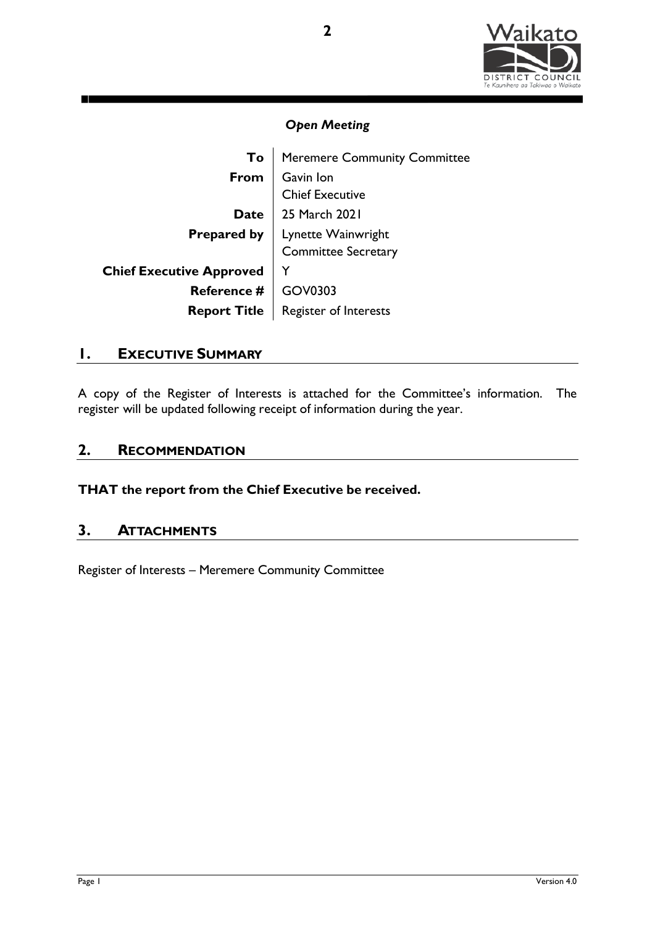

| To   Meremere Community Committee                                                     |
|---------------------------------------------------------------------------------------|
| From Gavin Ion<br>Chief Executive<br>Date 25 March 2021                               |
|                                                                                       |
|                                                                                       |
|                                                                                       |
| <b>Prepared by</b> Lynette Wainwright<br>Committee Secretary                          |
|                                                                                       |
| Chief Executive Approved<br>Reference # GOV0303<br>Report Title Register of Interests |
|                                                                                       |
|                                                                                       |

# **1. EXECUTIVE SUMMARY**

A copy of the Register of Interests is attached for the Committee's information. The register will be updated following receipt of information during the year.

# **2. RECOMMENDATION**

**THAT the report from the Chief Executive be received.**

# **3. ATTACHMENTS**

Register of Interests – Meremere Community Committee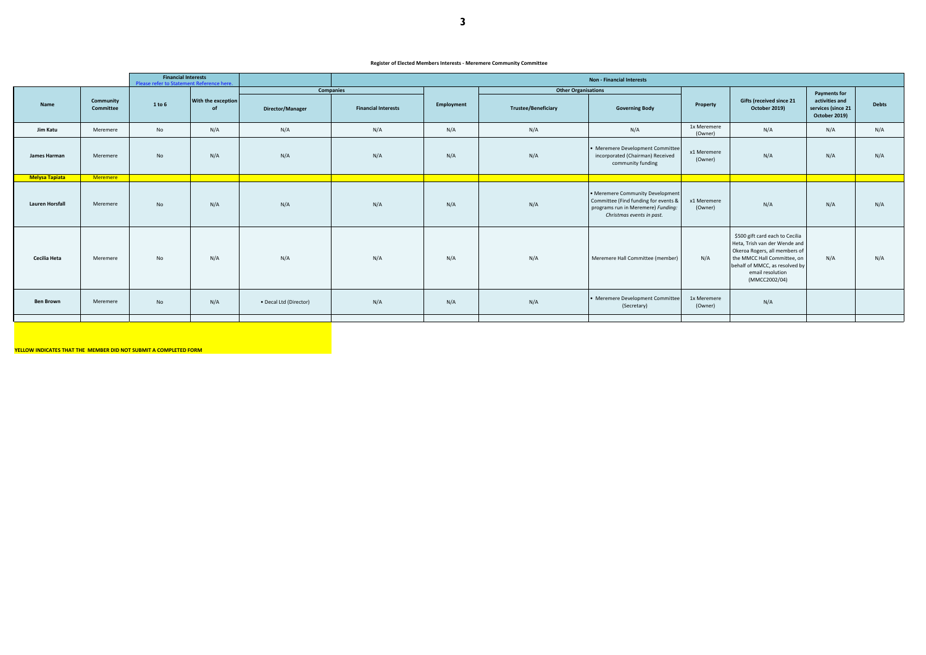| <b>Financial Interests</b><br>Please refer to Statement Reference here. |                       |                        | <b>Non - Financial Interests</b> |                                 |                        |                            |            |                     |                                                                                                                                             |                        |                                                                                                                                                                                                         |                                                       |              |
|-------------------------------------------------------------------------|-----------------------|------------------------|----------------------------------|---------------------------------|------------------------|----------------------------|------------|---------------------|---------------------------------------------------------------------------------------------------------------------------------------------|------------------------|---------------------------------------------------------------------------------------------------------------------------------------------------------------------------------------------------------|-------------------------------------------------------|--------------|
|                                                                         | <b>Companies</b>      |                        | <b>Other Organisations</b>       |                                 |                        |                            |            | <b>Payments for</b> |                                                                                                                                             |                        |                                                                                                                                                                                                         |                                                       |              |
| <b>Name</b>                                                             |                       | Community<br>Committee | 1 to 6                           | With the exception<br><b>of</b> | Director/Manager       | <b>Financial Interests</b> | Employment | Trustee/Beneficiary | <b>Governing Body</b>                                                                                                                       | Property               | <b>Gifts (received since 21</b><br>October 2019)                                                                                                                                                        | activities and<br>services (since 21<br>October 2019) | <b>Debts</b> |
|                                                                         | Jim Katu              | Meremere               | No                               | N/A                             | N/A                    | N/A                        | N/A        | N/A                 | N/A                                                                                                                                         | 1x Meremere<br>(Owner) | N/A                                                                                                                                                                                                     | N/A                                                   | N/A          |
| James Harman                                                            |                       | Meremere               | No                               | N/A                             | N/A                    | N/A                        | N/A        | N/A                 | • Meremere Development Committee<br>incorporated (Chairman) Received<br>community funding                                                   | x1 Meremere<br>(Owner) | N/A                                                                                                                                                                                                     | N/A                                                   | N/A          |
|                                                                         | <b>Melysa Tapiata</b> | Meremere               |                                  |                                 |                        |                            |            |                     |                                                                                                                                             |                        |                                                                                                                                                                                                         |                                                       |              |
| <b>Lauren Horsfall</b>                                                  |                       | Meremere               | No                               | N/A                             | N/A                    | N/A                        | N/A        | N/A                 | • Meremere Community Development<br>Committee (Find funding for events &<br>programs run in Meremere) Funding:<br>Christmas events in past. | x1 Meremere<br>(Owner) | N/A                                                                                                                                                                                                     | N/A                                                   | N/A          |
| Cecilia Heta                                                            |                       | Meremere               | No                               | N/A                             | N/A                    | N/A                        | N/A        | N/A                 | Meremere Hall Committee (member)                                                                                                            | N/A                    | \$500 gift card each to Cecilia<br>Heta, Trish van der Wende and<br>Okeroa Rogers, all members of<br>the MMCC Hall Committee, on<br>behalf of MMCC, as resolved by<br>email resolution<br>(MMCC2002/04) | N/A                                                   | N/A          |
| <b>Ben Brown</b>                                                        |                       | Meremere               | No                               | N/A                             | • Decal Ltd (Director) | N/A                        | N/A        | N/A                 | • Meremere Development Committee<br>(Secretary)                                                                                             | 1x Meremere<br>(Owner) | N/A                                                                                                                                                                                                     |                                                       |              |
|                                                                         |                       |                        |                                  |                                 |                        |                            |            |                     |                                                                                                                                             |                        |                                                                                                                                                                                                         |                                                       |              |

**YELLOW INDICATES THAT THE MEMBER DID NOT SUBMIT A COMPLETED FORM**

#### **Register of Elected Members Interests - Meremere Community Committee**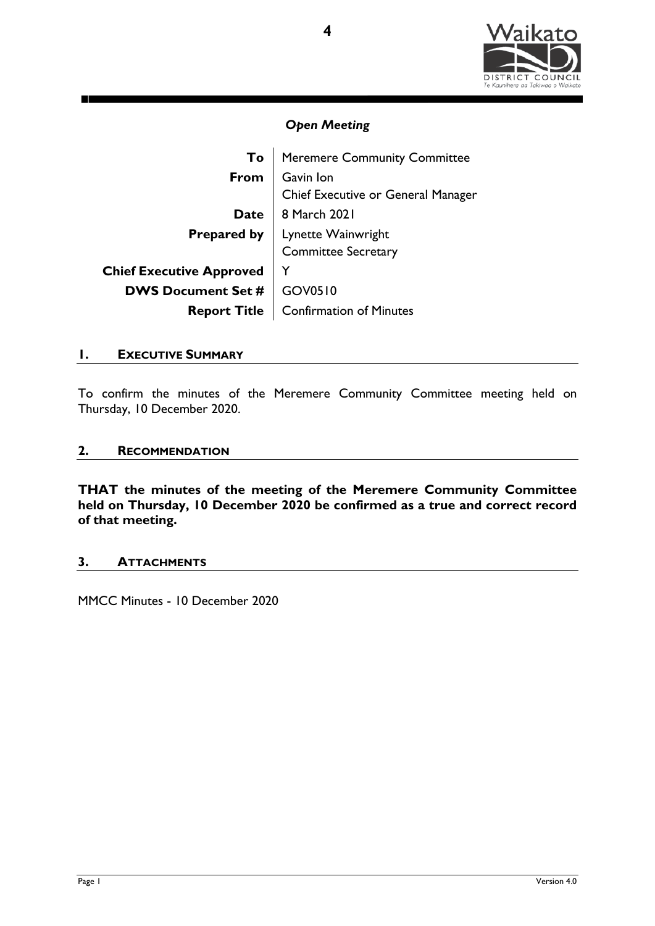

|                                 | To   Meremere Community Committee               |
|---------------------------------|-------------------------------------------------|
| From                            | Gavin Ion<br>Chief Executive or General Manager |
| <b>Date</b>                     | 8 March 2021                                    |
|                                 | <b>Prepared by</b>   Lynette Wainwright         |
|                                 | <b>Committee Secretary</b>                      |
| <b>Chief Executive Approved</b> |                                                 |
| <b>DWS Document Set #</b>       | GOV0510                                         |
| <b>Report Title</b>             | <b>Confirmation of Minutes</b>                  |

## **1. EXECUTIVE SUMMARY**

To confirm the minutes of the Meremere Community Committee meeting held on Thursday, 10 December 2020.

## **2. RECOMMENDATION**

**THAT the minutes of the meeting of the Meremere Community Committee held on Thursday, 10 December 2020 be confirmed as a true and correct record of that meeting.** 

## **3. ATTACHMENTS**

MMCC Minutes - 10 December 2020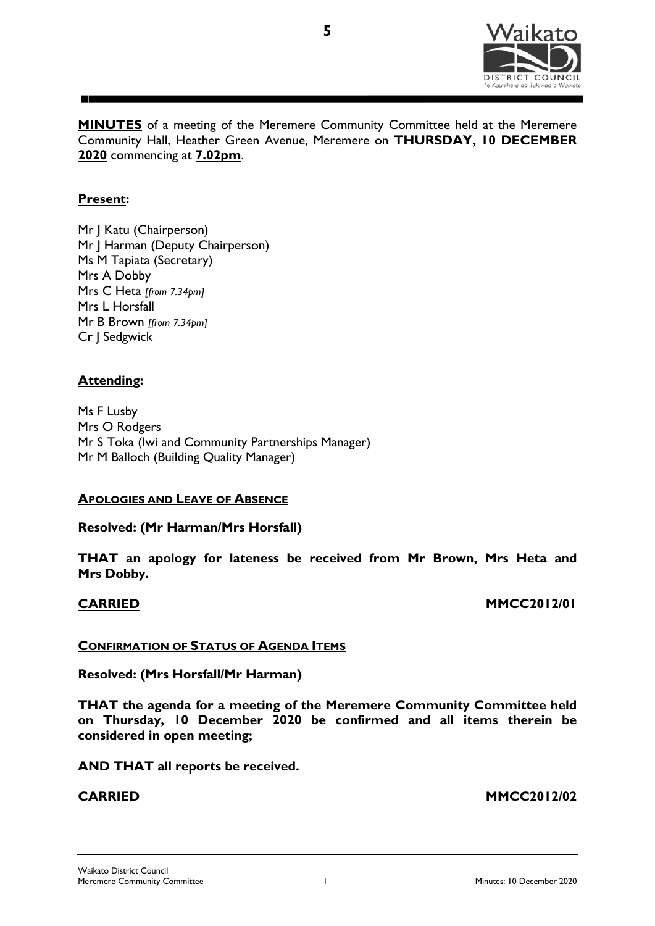

**MINUTES** of a meeting of the Meremere Community Committee held at the Meremere Community Hall, Heather Green Avenue, Meremere on **THURSDAY, 10 DECEMBER 2020** commencing at **7.02pm**.

**5**

# **Present:**

Mr J Katu (Chairperson) Mr J Harman (Deputy Chairperson) Ms M Tapiata (Secretary) Mrs A Dobby Mrs C Heta *[from 7.34pm]* Mrs L Horsfall Mr B Brown *[from 7.34pm]* Cr J Sedgwick

# **Attending:**

Ms F Lusby Mrs O Rodgers Mr S Toka (Iwi and Community Partnerships Manager) Mr M Balloch (Building Quality Manager)

## **APOLOGIES AND LEAVE OF ABSENCE**

**Resolved: (Mr Harman/Mrs Horsfall)**

**THAT an apology for lateness be received from Mr Brown, Mrs Heta and Mrs Dobby.** 

**CARRIED MMCC2012/01**

## **CONFIRMATION OF STATUS OF AGENDA ITEMS**

**Resolved: (Mrs Horsfall/Mr Harman)** 

**THAT the agenda for a meeting of the Meremere Community Committee held on Thursday, 10 December 2020 be confirmed and all items therein be considered in open meeting;**

**AND THAT all reports be received.**

**CARRIED MMCC2012/02**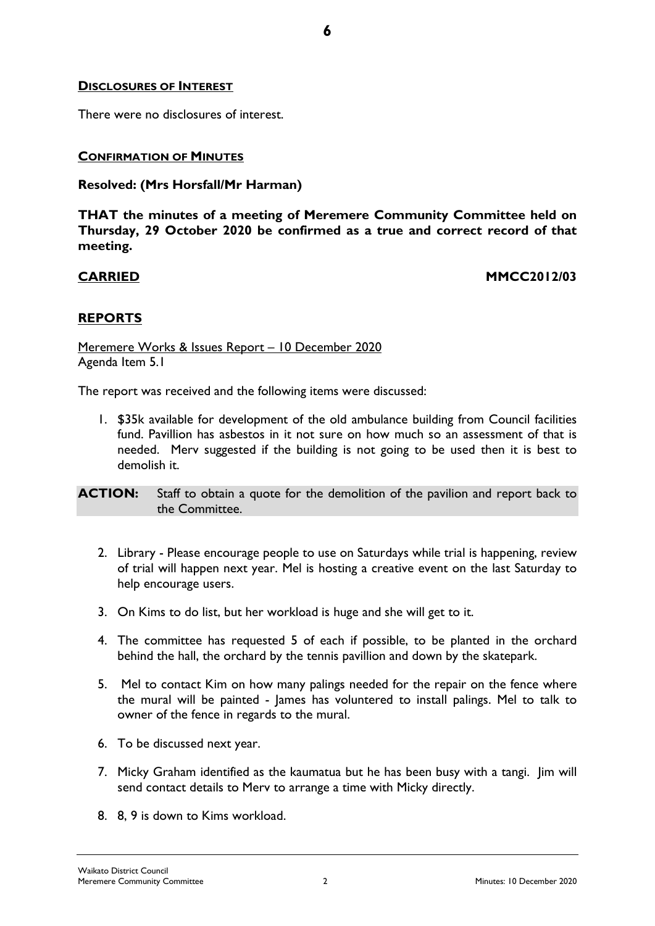## **DISCLOSURES OF INTEREST**

There were no disclosures of interest.

## **CONFIRMATION OF MINUTES**

## **Resolved: (Mrs Horsfall/Mr Harman)**

**THAT the minutes of a meeting of Meremere Community Committee held on Thursday, 29 October 2020 be confirmed as a true and correct record of that meeting.** 

**6**

**CARRIED MMCC2012/03**

## **REPORTS**

Meremere Works & Issues Report – 10 December 2020 Agenda Item 5.1

The report was received and the following items were discussed:

1. \$35k available for development of the old ambulance building from Council facilities fund. Pavillion has asbestos in it not sure on how much so an assessment of that is needed. Merv suggested if the building is not going to be used then it is best to demolish it.

**ACTION:** Staff to obtain a quote for the demolition of the pavilion and report back to the Committee.

- 2. Library Please encourage people to use on Saturdays while trial is happening, review of trial will happen next year. Mel is hosting a creative event on the last Saturday to help encourage users.
- 3. On Kims to do list, but her workload is huge and she will get to it.
- 4. The committee has requested 5 of each if possible, to be planted in the orchard behind the hall, the orchard by the tennis pavillion and down by the skatepark.
- 5. Mel to contact Kim on how many palings needed for the repair on the fence where the mural will be painted - James has voluntered to install palings. Mel to talk to owner of the fence in regards to the mural.
- 6. To be discussed next year.
- 7. Micky Graham identified as the kaumatua but he has been busy with a tangi. Jim will send contact details to Merv to arrange a time with Micky directly.
- 8. 8, 9 is down to Kims workload.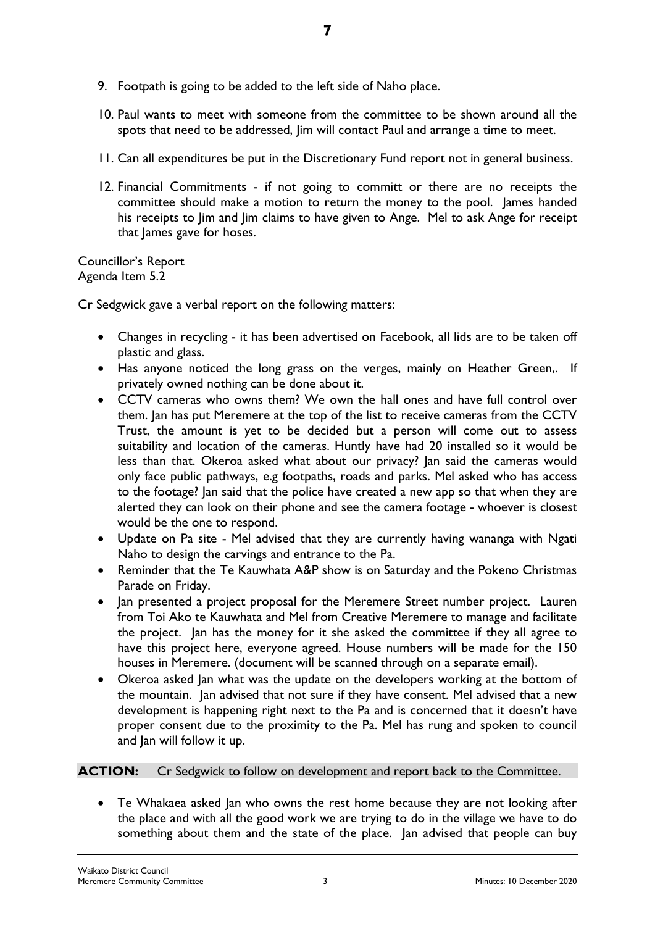- 9. Footpath is going to be added to the left side of Naho place.
- 10. Paul wants to meet with someone from the committee to be shown around all the spots that need to be addressed, Jim will contact Paul and arrange a time to meet.
- 11. Can all expenditures be put in the Discretionary Fund report not in general business.
- 12. Financial Commitments if not going to committ or there are no receipts the committee should make a motion to return the money to the pool. James handed his receipts to Jim and Jim claims to have given to Ange. Mel to ask Ange for receipt that James gave for hoses.

## Councillor's Report Agenda Item 5.2

Cr Sedgwick gave a verbal report on the following matters:

- Changes in recycling it has been advertised on Facebook, all lids are to be taken off plastic and glass.
- Has anyone noticed the long grass on the verges, mainly on Heather Green,. If privately owned nothing can be done about it.
- CCTV cameras who owns them? We own the hall ones and have full control over them. Jan has put Meremere at the top of the list to receive cameras from the CCTV Trust, the amount is yet to be decided but a person will come out to assess suitability and location of the cameras. Huntly have had 20 installed so it would be less than that. Okeroa asked what about our privacy? Jan said the cameras would only face public pathways, e.g footpaths, roads and parks. Mel asked who has access to the footage? Jan said that the police have created a new app so that when they are alerted they can look on their phone and see the camera footage - whoever is closest would be the one to respond.
- Update on Pa site Mel advised that they are currently having wananga with Ngati Naho to design the carvings and entrance to the Pa.
- Reminder that the Te Kauwhata A&P show is on Saturday and the Pokeno Christmas Parade on Friday.
- Jan presented a project proposal for the Meremere Street number project. Lauren from Toi Ako te Kauwhata and Mel from Creative Meremere to manage and facilitate the project. Jan has the money for it she asked the committee if they all agree to have this project here, everyone agreed. House numbers will be made for the 150 houses in Meremere. (document will be scanned through on a separate email).
- Okeroa asked Jan what was the update on the developers working at the bottom of the mountain. Jan advised that not sure if they have consent. Mel advised that a new development is happening right next to the Pa and is concerned that it doesn't have proper consent due to the proximity to the Pa. Mel has rung and spoken to council and Jan will follow it up.

# **ACTION:** Cr Sedgwick to follow on development and report back to the Committee.

• Te Whakaea asked Jan who owns the rest home because they are not looking after the place and with all the good work we are trying to do in the village we have to do something about them and the state of the place. Jan advised that people can buy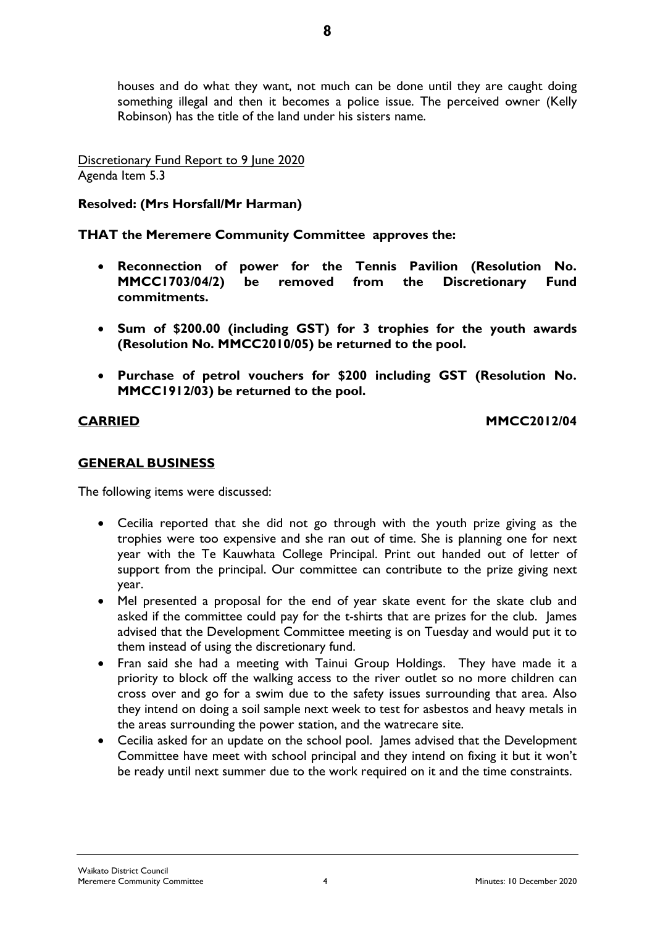houses and do what they want, not much can be done until they are caught doing something illegal and then it becomes a police issue. The perceived owner (Kelly Robinson) has the title of the land under his sisters name.

Discretionary Fund Report to 9 June 2020 Agenda Item 5.3

# **Resolved: (Mrs Horsfall/Mr Harman)**

**THAT the Meremere Community Committee approves the:**

- **Reconnection of power for the Tennis Pavilion (Resolution No. MMCC1703/04/2) be removed from the Discretionary Fund commitments.**
- **Sum of \$200.00 (including GST) for 3 trophies for the youth awards (Resolution No. MMCC2010/05) be returned to the pool.**
- **Purchase of petrol vouchers for \$200 including GST (Resolution No. MMCC1912/03) be returned to the pool.**

**CARRIED MMCC2012/04**

# **GENERAL BUSINESS**

The following items were discussed:

- Cecilia reported that she did not go through with the youth prize giving as the trophies were too expensive and she ran out of time. She is planning one for next year with the Te Kauwhata College Principal. Print out handed out of letter of support from the principal. Our committee can contribute to the prize giving next year.
- Mel presented a proposal for the end of year skate event for the skate club and asked if the committee could pay for the t-shirts that are prizes for the club. James advised that the Development Committee meeting is on Tuesday and would put it to them instead of using the discretionary fund.
- Fran said she had a meeting with Tainui Group Holdings. They have made it a priority to block off the walking access to the river outlet so no more children can cross over and go for a swim due to the safety issues surrounding that area. Also they intend on doing a soil sample next week to test for asbestos and heavy metals in the areas surrounding the power station, and the watrecare site.
- Cecilia asked for an update on the school pool. James advised that the Development Committee have meet with school principal and they intend on fixing it but it won't be ready until next summer due to the work required on it and the time constraints.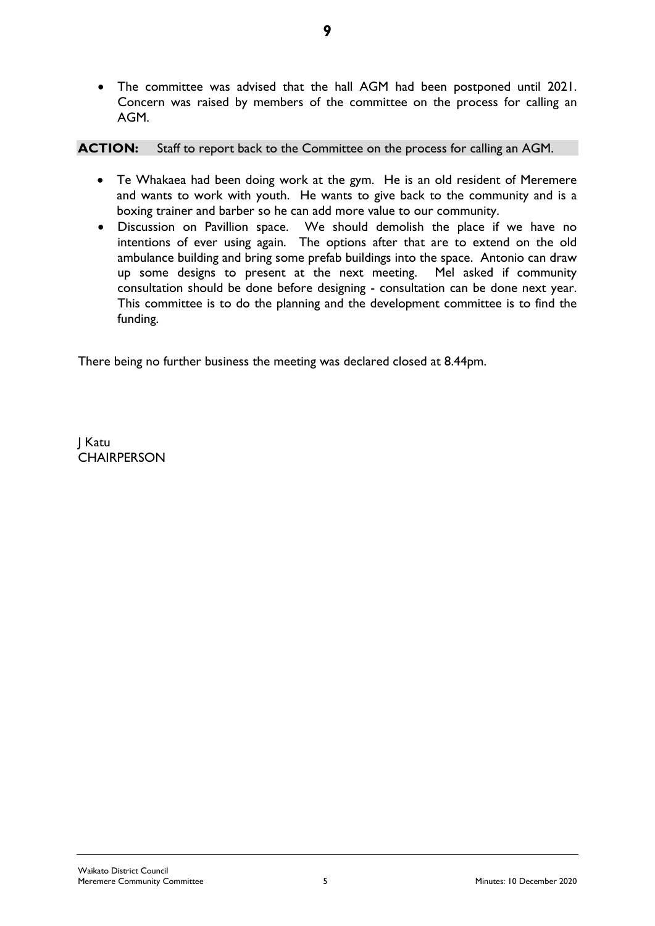• The committee was advised that the hall AGM had been postponed until 2021. Concern was raised by members of the committee on the process for calling an AGM.

# **ACTION:** Staff to report back to the Committee on the process for calling an AGM.

- Te Whakaea had been doing work at the gym. He is an old resident of Meremere and wants to work with youth. He wants to give back to the community and is a boxing trainer and barber so he can add more value to our community.
- Discussion on Pavillion space. We should demolish the place if we have no intentions of ever using again. The options after that are to extend on the old ambulance building and bring some prefab buildings into the space. Antonio can draw up some designs to present at the next meeting. Mel asked if community consultation should be done before designing - consultation can be done next year. This committee is to do the planning and the development committee is to find the funding.

There being no further business the meeting was declared closed at 8.44pm.

J Katu **CHAIRPERSON**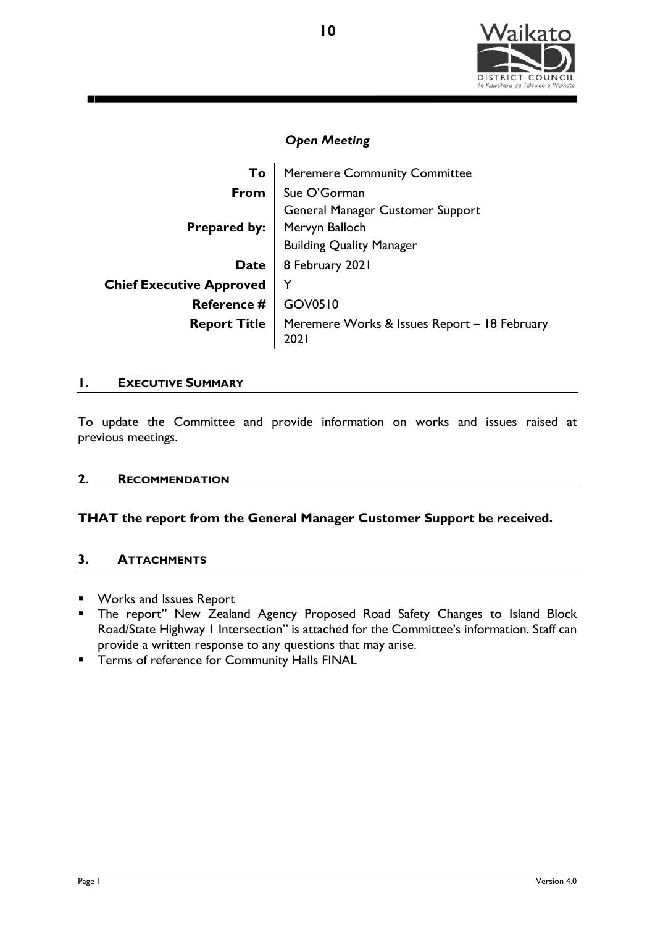

| To                              | <b>Meremere Community Committee</b>                  |  |  |
|---------------------------------|------------------------------------------------------|--|--|
| From                            | Sue O'Gorman                                         |  |  |
|                                 | <b>General Manager Customer Support</b>              |  |  |
|                                 | <b>Prepared by:</b>   Mervyn Balloch                 |  |  |
|                                 | <b>Building Quality Manager</b>                      |  |  |
| Date                            | 8 February 2021                                      |  |  |
| <b>Chief Executive Approved</b> | Y                                                    |  |  |
| <b>Reference #</b>              | GOV0510                                              |  |  |
| <b>Report Title</b>             | Meremere Works & Issues Report – 18 February<br>2021 |  |  |

## **1. EXECUTIVE SUMMARY**

To update the Committee and provide information on works and issues raised at previous meetings.

# **2. RECOMMENDATION**

# **THAT the report from the General Manager Customer Support be received.**

## **3. ATTACHMENTS**

- **Works and Issues Report**
- **The report" New Zealand Agency Proposed Road Safety Changes to Island Block** Road/State Highway 1 Intersection" is attached for the Committee's information. Staff can provide a written response to any questions that may arise.
- **Terms of reference for Community Halls FINAL**

**10**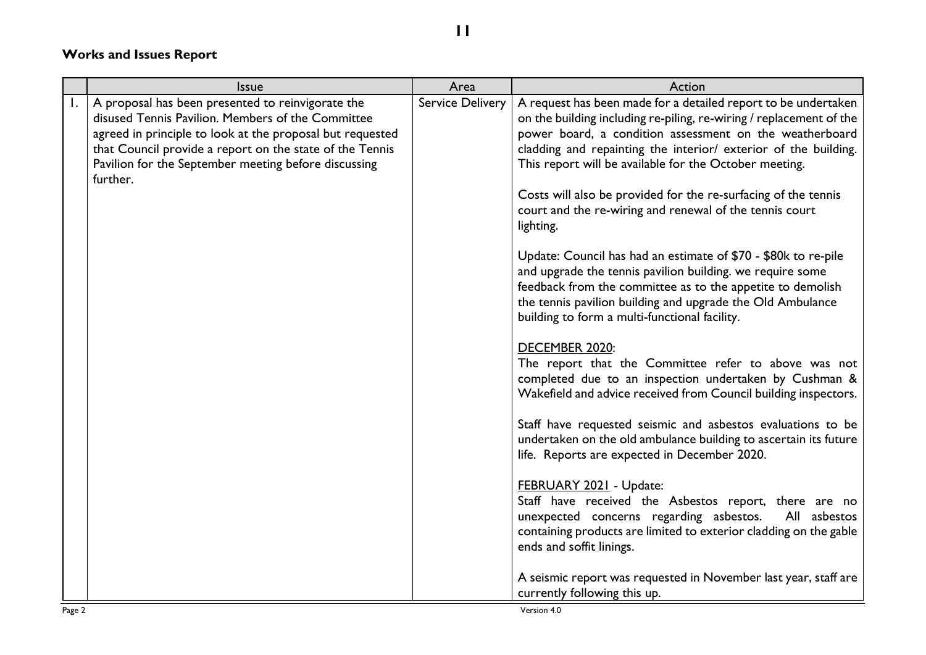# **Works and Issues Report**

|    | Issue                                                                                                                                                                                                                                                                                               | Area                    | Action                                                                                                                                                                                                                                                                                                                                                                                                                                                                                                                                                                                                                                                                                                                                                                                                                                                                                                                                                                                                                                                                                                                                                                                                                                                                                                                                                                                                                                                                                           |
|----|-----------------------------------------------------------------------------------------------------------------------------------------------------------------------------------------------------------------------------------------------------------------------------------------------------|-------------------------|--------------------------------------------------------------------------------------------------------------------------------------------------------------------------------------------------------------------------------------------------------------------------------------------------------------------------------------------------------------------------------------------------------------------------------------------------------------------------------------------------------------------------------------------------------------------------------------------------------------------------------------------------------------------------------------------------------------------------------------------------------------------------------------------------------------------------------------------------------------------------------------------------------------------------------------------------------------------------------------------------------------------------------------------------------------------------------------------------------------------------------------------------------------------------------------------------------------------------------------------------------------------------------------------------------------------------------------------------------------------------------------------------------------------------------------------------------------------------------------------------|
| Ι. | A proposal has been presented to reinvigorate the<br>disused Tennis Pavilion. Members of the Committee<br>agreed in principle to look at the proposal but requested<br>that Council provide a report on the state of the Tennis<br>Pavilion for the September meeting before discussing<br>further. | <b>Service Delivery</b> | A request has been made for a detailed report to be undertaken<br>on the building including re-piling, re-wiring / replacement of the<br>power board, a condition assessment on the weatherboard<br>cladding and repainting the interior/ exterior of the building.<br>This report will be available for the October meeting.<br>Costs will also be provided for the re-surfacing of the tennis<br>court and the re-wiring and renewal of the tennis court<br>lighting.<br>Update: Council has had an estimate of \$70 - \$80k to re-pile<br>and upgrade the tennis pavilion building. we require some<br>feedback from the committee as to the appetite to demolish<br>the tennis pavilion building and upgrade the Old Ambulance<br>building to form a multi-functional facility.<br>DECEMBER 2020:<br>The report that the Committee refer to above was not<br>completed due to an inspection undertaken by Cushman &<br>Wakefield and advice received from Council building inspectors.<br>Staff have requested seismic and asbestos evaluations to be<br>undertaken on the old ambulance building to ascertain its future<br>life. Reports are expected in December 2020.<br>FEBRUARY 2021 - Update:<br>Staff have received the Asbestos report, there are no<br>unexpected concerns regarding asbestos.<br>All asbestos<br>containing products are limited to exterior cladding on the gable<br>ends and soffit linings.<br>A seismic report was requested in November last year, staff are |
|    |                                                                                                                                                                                                                                                                                                     |                         | currently following this up.                                                                                                                                                                                                                                                                                                                                                                                                                                                                                                                                                                                                                                                                                                                                                                                                                                                                                                                                                                                                                                                                                                                                                                                                                                                                                                                                                                                                                                                                     |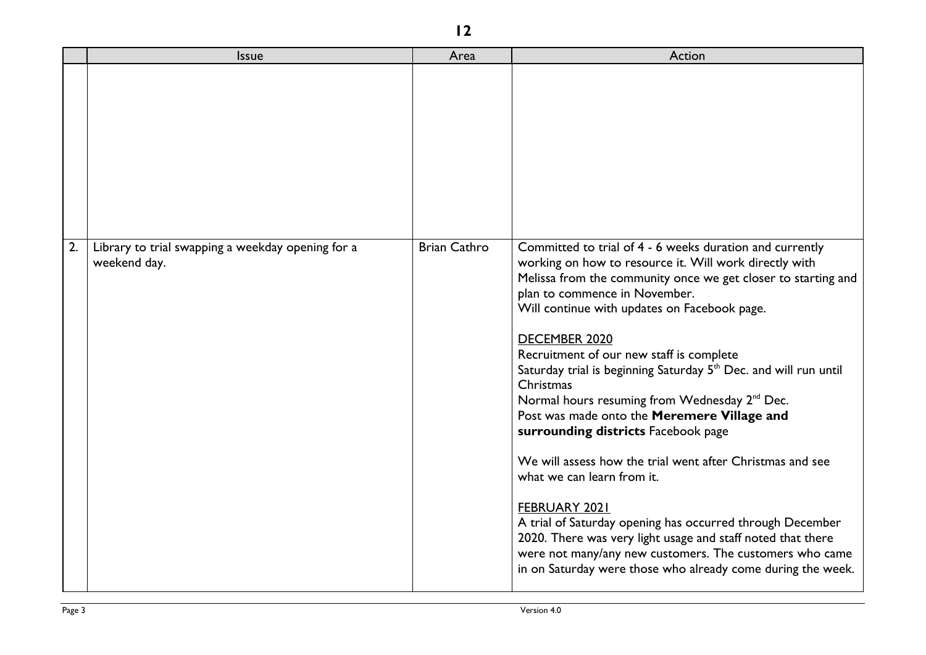|    | <b>Issue</b>                                                      | Area                | Action                                                                                                                                                                                                                                                                                                                                                                                                                                                                                                                                                                                                                                                                                                                                                                                                                                                                                                                                              |
|----|-------------------------------------------------------------------|---------------------|-----------------------------------------------------------------------------------------------------------------------------------------------------------------------------------------------------------------------------------------------------------------------------------------------------------------------------------------------------------------------------------------------------------------------------------------------------------------------------------------------------------------------------------------------------------------------------------------------------------------------------------------------------------------------------------------------------------------------------------------------------------------------------------------------------------------------------------------------------------------------------------------------------------------------------------------------------|
|    |                                                                   |                     |                                                                                                                                                                                                                                                                                                                                                                                                                                                                                                                                                                                                                                                                                                                                                                                                                                                                                                                                                     |
| 2. | Library to trial swapping a weekday opening for a<br>weekend day. | <b>Brian Cathro</b> | Committed to trial of 4 - 6 weeks duration and currently<br>working on how to resource it. Will work directly with<br>Melissa from the community once we get closer to starting and<br>plan to commence in November.<br>Will continue with updates on Facebook page.<br>DECEMBER 2020<br>Recruitment of our new staff is complete<br>Saturday trial is beginning Saturday 5 <sup>th</sup> Dec. and will run until<br>Christmas<br>Normal hours resuming from Wednesday 2 <sup>nd</sup> Dec.<br>Post was made onto the Meremere Village and<br>surrounding districts Facebook page<br>We will assess how the trial went after Christmas and see<br>what we can learn from it.<br>FEBRUARY 2021<br>A trial of Saturday opening has occurred through December<br>2020. There was very light usage and staff noted that there<br>were not many/any new customers. The customers who came<br>in on Saturday were those who already come during the week. |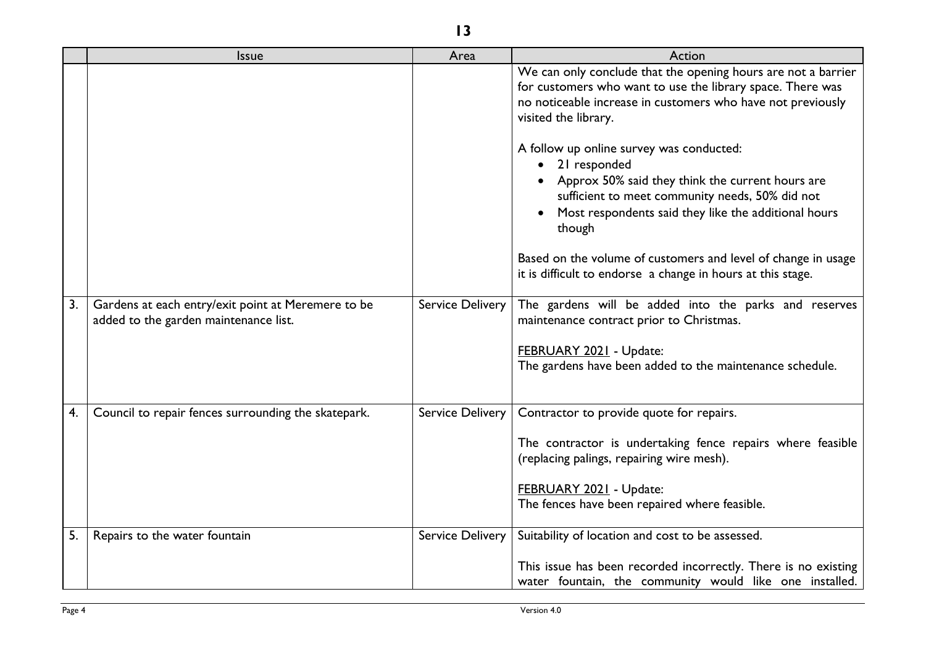|    | <b>Issue</b>                                                                                | Area             | Action                                                                                                                                                                                                                                                                                                                                                                                                                                                                                                                                                                                  |
|----|---------------------------------------------------------------------------------------------|------------------|-----------------------------------------------------------------------------------------------------------------------------------------------------------------------------------------------------------------------------------------------------------------------------------------------------------------------------------------------------------------------------------------------------------------------------------------------------------------------------------------------------------------------------------------------------------------------------------------|
|    |                                                                                             |                  | We can only conclude that the opening hours are not a barrier<br>for customers who want to use the library space. There was<br>no noticeable increase in customers who have not previously<br>visited the library.<br>A follow up online survey was conducted:<br>21 responded<br>Approx 50% said they think the current hours are<br>sufficient to meet community needs, 50% did not<br>Most respondents said they like the additional hours<br>though<br>Based on the volume of customers and level of change in usage<br>it is difficult to endorse a change in hours at this stage. |
| 3. | Gardens at each entry/exit point at Meremere to be<br>added to the garden maintenance list. | Service Delivery | The gardens will be added into the parks and reserves<br>maintenance contract prior to Christmas.<br>FEBRUARY 2021 - Update:<br>The gardens have been added to the maintenance schedule.                                                                                                                                                                                                                                                                                                                                                                                                |
| 4. | Council to repair fences surrounding the skatepark.                                         | Service Delivery | Contractor to provide quote for repairs.<br>The contractor is undertaking fence repairs where feasible<br>(replacing palings, repairing wire mesh).<br>FEBRUARY 2021 - Update:<br>The fences have been repaired where feasible.                                                                                                                                                                                                                                                                                                                                                         |
| 5. | Repairs to the water fountain                                                               | Service Delivery | Suitability of location and cost to be assessed.<br>This issue has been recorded incorrectly. There is no existing<br>water fountain, the community would like one installed.                                                                                                                                                                                                                                                                                                                                                                                                           |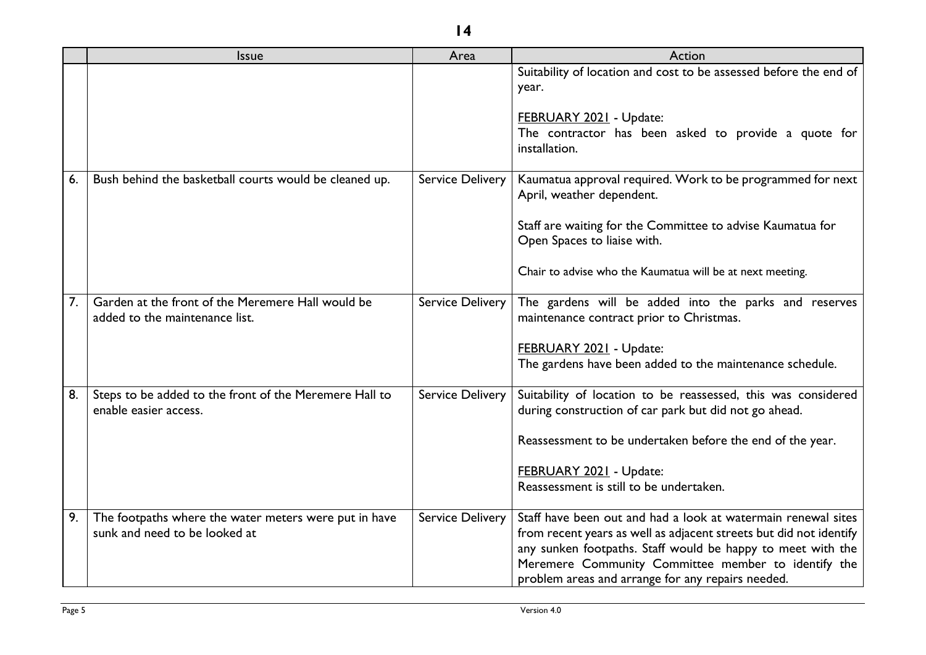|    | <b>Issue</b>                                                                           | Area                    | Action                                                                                                                                                                                                                                                                                                         |
|----|----------------------------------------------------------------------------------------|-------------------------|----------------------------------------------------------------------------------------------------------------------------------------------------------------------------------------------------------------------------------------------------------------------------------------------------------------|
|    |                                                                                        |                         | Suitability of location and cost to be assessed before the end of<br>year.<br><b>FEBRUARY 2021 - Update:</b><br>The contractor has been asked to provide a quote for<br>installation.                                                                                                                          |
| 6. | Bush behind the basketball courts would be cleaned up.                                 | <b>Service Delivery</b> | Kaumatua approval required. Work to be programmed for next<br>April, weather dependent.<br>Staff are waiting for the Committee to advise Kaumatua for<br>Open Spaces to liaise with.<br>Chair to advise who the Kaumatua will be at next meeting.                                                              |
| 7. | Garden at the front of the Meremere Hall would be<br>added to the maintenance list.    | <b>Service Delivery</b> | The gardens will be added into the parks and reserves<br>maintenance contract prior to Christmas.<br>FEBRUARY 2021 - Update:<br>The gardens have been added to the maintenance schedule.                                                                                                                       |
| 8. | Steps to be added to the front of the Meremere Hall to<br>enable easier access.        | <b>Service Delivery</b> | Suitability of location to be reassessed, this was considered<br>during construction of car park but did not go ahead.<br>Reassessment to be undertaken before the end of the year.<br>FEBRUARY 2021 - Update:<br>Reassessment is still to be undertaken.                                                      |
| 9. | The footpaths where the water meters were put in have<br>sunk and need to be looked at | <b>Service Delivery</b> | Staff have been out and had a look at watermain renewal sites<br>from recent years as well as adjacent streets but did not identify<br>any sunken footpaths. Staff would be happy to meet with the<br>Meremere Community Committee member to identify the<br>problem areas and arrange for any repairs needed. |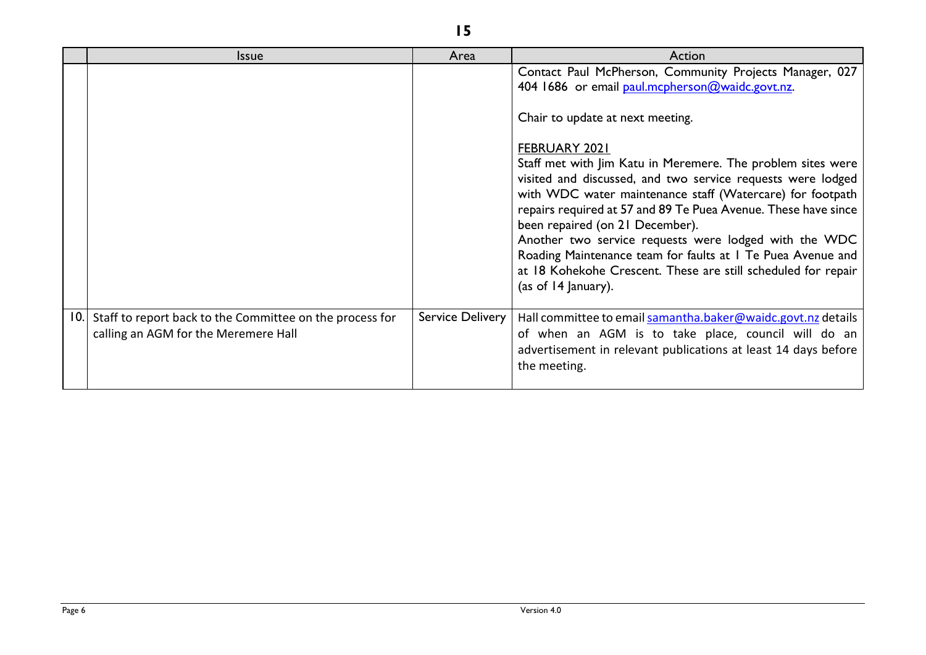|     | <b>Issue</b>                                                                                     | Area             | Action                                                                                                                                                                                                                                                                                                                                                                                                                                                                                                                                                                                                                                                                          |
|-----|--------------------------------------------------------------------------------------------------|------------------|---------------------------------------------------------------------------------------------------------------------------------------------------------------------------------------------------------------------------------------------------------------------------------------------------------------------------------------------------------------------------------------------------------------------------------------------------------------------------------------------------------------------------------------------------------------------------------------------------------------------------------------------------------------------------------|
|     |                                                                                                  |                  | Contact Paul McPherson, Community Projects Manager, 027<br>404 1686 or email paul.mcpherson@waidc.govt.nz.<br>Chair to update at next meeting.<br>FEBRUARY 2021<br>Staff met with Jim Katu in Meremere. The problem sites were<br>visited and discussed, and two service requests were lodged<br>with WDC water maintenance staff (Watercare) for footpath<br>repairs required at 57 and 89 Te Puea Avenue. These have since<br>been repaired (on 21 December).<br>Another two service requests were lodged with the WDC<br>Roading Maintenance team for faults at I Te Puea Avenue and<br>at 18 Kohekohe Crescent. These are still scheduled for repair<br>(as of 14 January). |
| 10. | Staff to report back to the Committee on the process for<br>calling an AGM for the Meremere Hall | Service Delivery | Hall committee to email samantha.baker@waidc.govt.nz details<br>of when an AGM is to take place, council will do an<br>advertisement in relevant publications at least 14 days before<br>the meeting.                                                                                                                                                                                                                                                                                                                                                                                                                                                                           |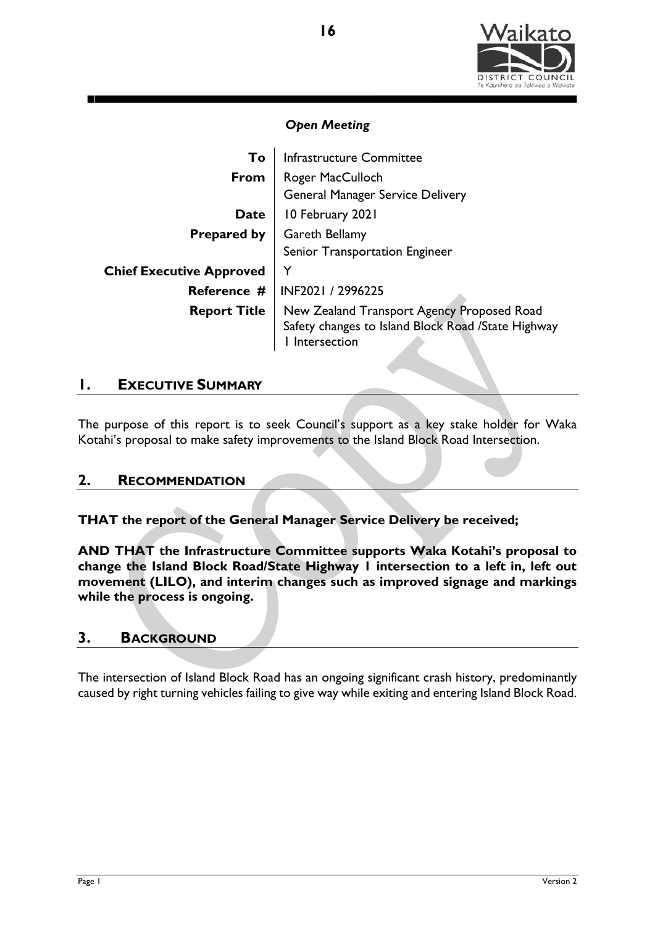

| To                              | Infrastructure Committee                                                                                         |  |  |
|---------------------------------|------------------------------------------------------------------------------------------------------------------|--|--|
| From                            | Roger MacCulloch                                                                                                 |  |  |
|                                 | <b>General Manager Service Delivery</b>                                                                          |  |  |
| <b>Date</b>                     | 10 February 2021                                                                                                 |  |  |
| <b>Prepared by</b>              | <b>Gareth Bellamy</b>                                                                                            |  |  |
|                                 | Senior Transportation Engineer                                                                                   |  |  |
| <b>Chief Executive Approved</b> | Y                                                                                                                |  |  |
| Reference #                     | INF2021 / 2996225                                                                                                |  |  |
| <b>Report Title</b>             | New Zealand Transport Agency Proposed Road<br>Safety changes to Island Block Road /State Highway<br>Intersection |  |  |

# **1. EXECUTIVE SUMMARY**

The purpose of this report is to seek Council's support as a key stake holder for Waka Kotahi's proposal to make safety improvements to the Island Block Road Intersection.

# **2. RECOMMENDATION**

**THAT the report of the General Manager Service Delivery be received;**

**AND THAT the Infrastructure Committee supports Waka Kotahi's proposal to change the Island Block Road/State Highway 1 intersection to a left in, left out movement (LILO), and interim changes such as improved signage and markings while the process is ongoing.**

# **3. BACKGROUND**

The intersection of Island Block Road has an ongoing significant crash history, predominantly caused by right turning vehicles failing to give way while exiting and entering Island Block Road.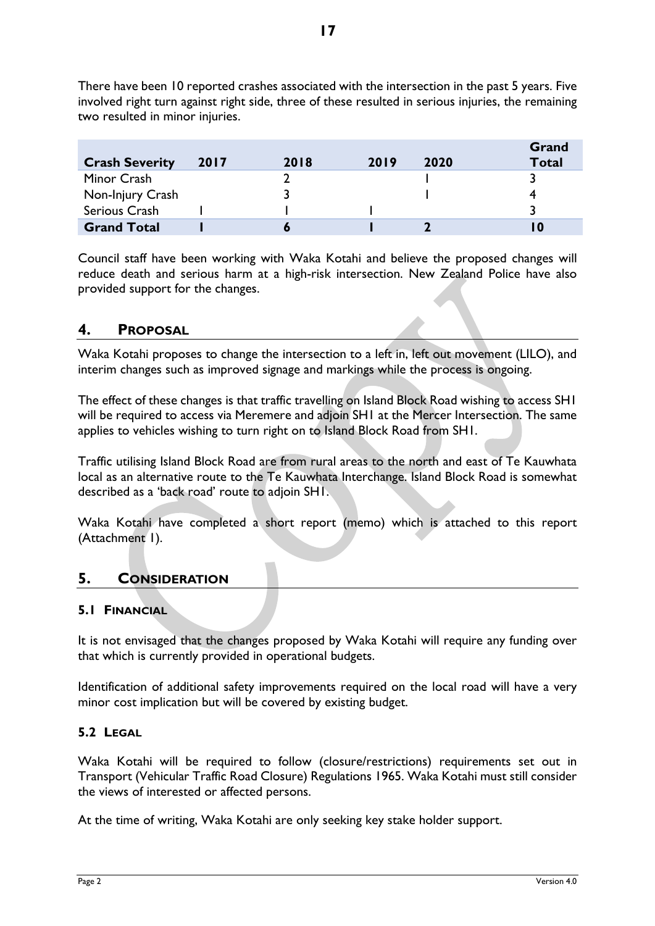There have been 10 reported crashes associated with the intersection in the past 5 years. Five involved right turn against right side, three of these resulted in serious injuries, the remaining two resulted in minor injuries.

| <b>Crash Severity</b> | 2017 | 2018 | 2019 | 2020 | Grand<br><b>Total</b> |
|-----------------------|------|------|------|------|-----------------------|
| Minor Crash           |      |      |      |      |                       |
| Non-Injury Crash      |      |      |      |      |                       |
| Serious Crash         |      |      |      |      |                       |
| <b>Grand Total</b>    |      |      |      |      | l O                   |

Council staff have been working with Waka Kotahi and believe the proposed changes will reduce death and serious harm at a high-risk intersection. New Zealand Police have also provided support for the changes.

# **4. PROPOSAL**

Waka Kotahi proposes to change the intersection to a left in, left out movement (LILO), and interim changes such as improved signage and markings while the process is ongoing.

The effect of these changes is that traffic travelling on Island Block Road wishing to access SH1 will be required to access via Meremere and adjoin SH1 at the Mercer Intersection. The same applies to vehicles wishing to turn right on to Island Block Road from SH1.

Traffic utilising Island Block Road are from rural areas to the north and east of Te Kauwhata local as an alternative route to the Te Kauwhata Interchange. Island Block Road is somewhat described as a 'back road' route to adjoin SH1.

Waka Kotahi have completed a short report (memo) which is attached to this report (Attachment 1).

# **5. CONSIDERATION**

# **5.1 FINANCIAL**

It is not envisaged that the changes proposed by Waka Kotahi will require any funding over that which is currently provided in operational budgets.

Identification of additional safety improvements required on the local road will have a very minor cost implication but will be covered by existing budget.

## **5.2 LEGAL**

Waka Kotahi will be required to follow (closure/restrictions) requirements set out in Transport (Vehicular Traffic Road Closure) Regulations 1965. Waka Kotahi must still consider the views of interested or affected persons.

At the time of writing, Waka Kotahi are only seeking key stake holder support.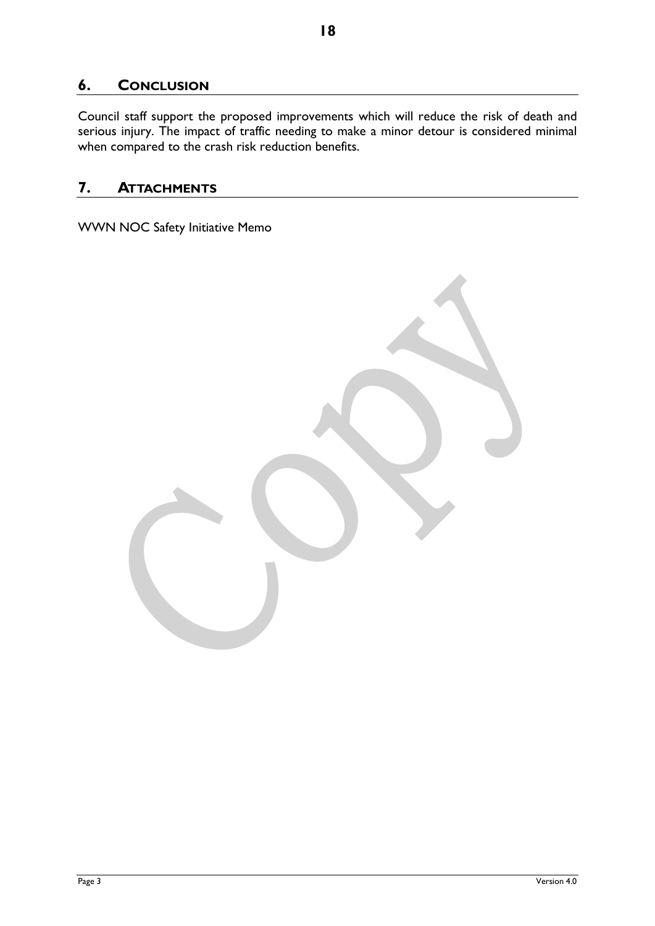# **6. CONCLUSION**

Council staff support the proposed improvements which will reduce the risk of death and serious injury. The impact of traffic needing to make a minor detour is considered minimal when compared to the crash risk reduction benefits.

# **7. ATTACHMENTS**

WWN NOC Safety Initiative Memo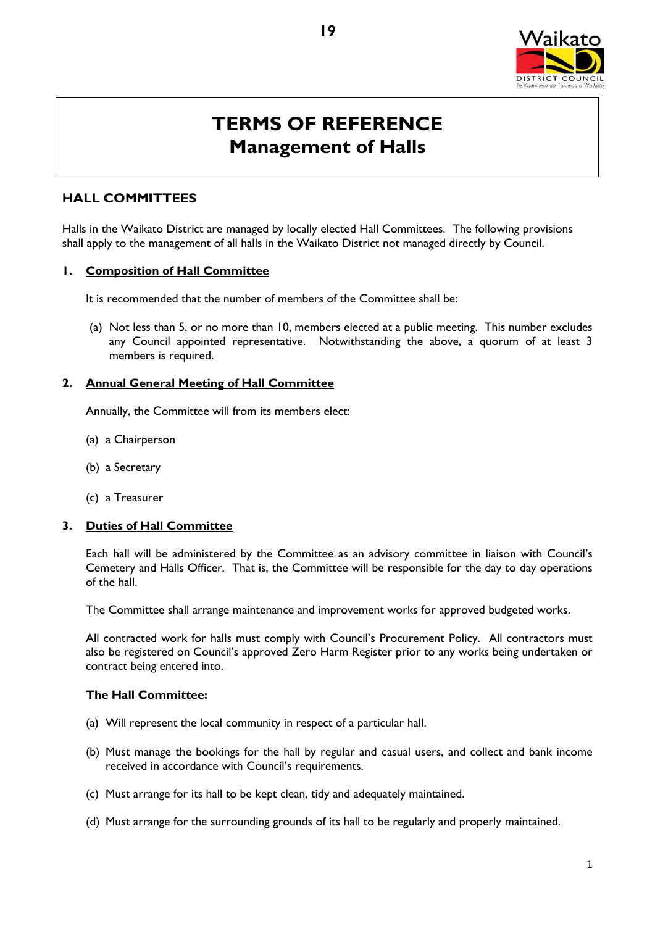

# **TERMS OF REFERENCE Management of Halls**

# **HALL COMMITTEES**

Halls in the Waikato District are managed by locally elected Hall Committees. The following provisions shall apply to the management of all halls in the Waikato District not managed directly by Council.

### **1. Composition of Hall Committee**

It is recommended that the number of members of the Committee shall be:

(a) Not less than 5, or no more than 10, members elected at a public meeting. This number excludes any Council appointed representative. Notwithstanding the above, a quorum of at least 3 members is required.

#### **2. Annual General Meeting of Hall Committee**

Annually, the Committee will from its members elect:

- (a) a Chairperson
- (b) a Secretary
- (c) a Treasurer

## **3. Duties of Hall Committee**

Each hall will be administered by the Committee as an advisory committee in liaison with Council's Cemetery and Halls Officer. That is, the Committee will be responsible for the day to day operations of the hall.

The Committee shall arrange maintenance and improvement works for approved budgeted works.

All contracted work for halls must comply with Council's Procurement Policy. All contractors must also be registered on Council's approved Zero Harm Register prior to any works being undertaken or contract being entered into.

#### **The Hall Committee:**

- (a) Will represent the local community in respect of a particular hall.
- (b) Must manage the bookings for the hall by regular and casual users, and collect and bank income received in accordance with Council's requirements.
- (c) Must arrange for its hall to be kept clean, tidy and adequately maintained.
- (d) Must arrange for the surrounding grounds of its hall to be regularly and properly maintained.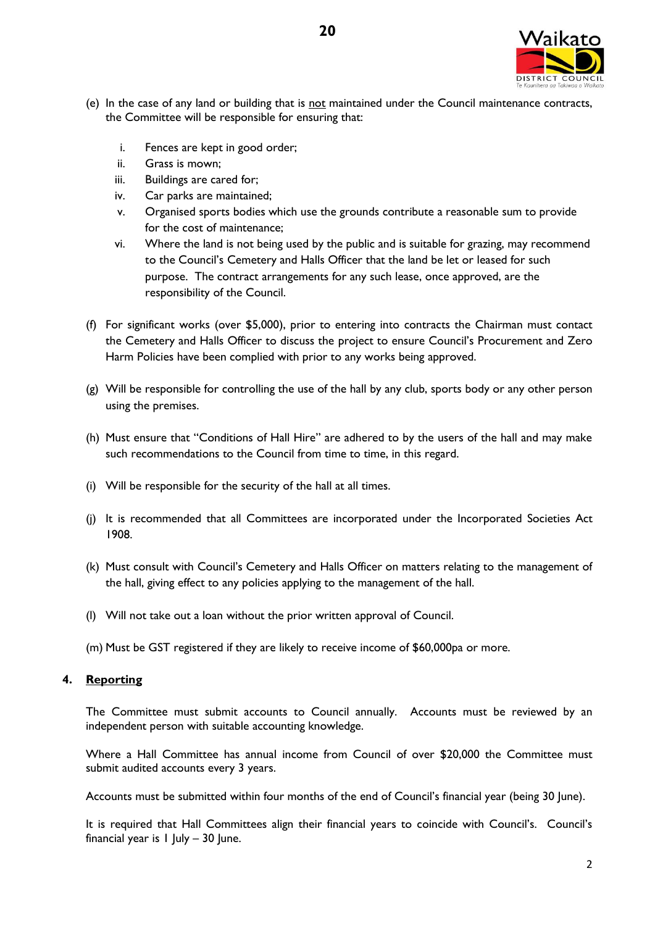

- (e) In the case of any land or building that is not maintained under the Council maintenance contracts, the Committee will be responsible for ensuring that:
	- i. Fences are kept in good order;
	- ii. Grass is mown;
	- iii. Buildings are cared for;
	- iv. Car parks are maintained;
	- v. Organised sports bodies which use the grounds contribute a reasonable sum to provide for the cost of maintenance;
	- vi. Where the land is not being used by the public and is suitable for grazing, may recommend to the Council's Cemetery and Halls Officer that the land be let or leased for such purpose. The contract arrangements for any such lease, once approved, are the responsibility of the Council.
- (f) For significant works (over \$5,000), prior to entering into contracts the Chairman must contact the Cemetery and Halls Officer to discuss the project to ensure Council's Procurement and Zero Harm Policies have been complied with prior to any works being approved.
- $(g)$  Will be responsible for controlling the use of the hall by any club, sports body or any other person using the premises.
- (h) Must ensure that "Conditions of Hall Hire" are adhered to by the users of the hall and may make such recommendations to the Council from time to time, in this regard.
- (i) Will be responsible for the security of the hall at all times.
- (j) It is recommended that all Committees are incorporated under the Incorporated Societies Act 1908.
- (k) Must consult with Council's Cemetery and Halls Officer on matters relating to the management of the hall, giving effect to any policies applying to the management of the hall.
- (l) Will not take out a loan without the prior written approval of Council.
- (m) Must be GST registered if they are likely to receive income of \$60,000pa or more.

## **4. Reporting**

The Committee must submit accounts to Council annually. Accounts must be reviewed by an independent person with suitable accounting knowledge.

Where a Hall Committee has annual income from Council of over \$20,000 the Committee must submit audited accounts every 3 years.

Accounts must be submitted within four months of the end of Council's financial year (being 30 June).

It is required that Hall Committees align their financial years to coincide with Council's. Council's financial year is  $1$  July – 30 June.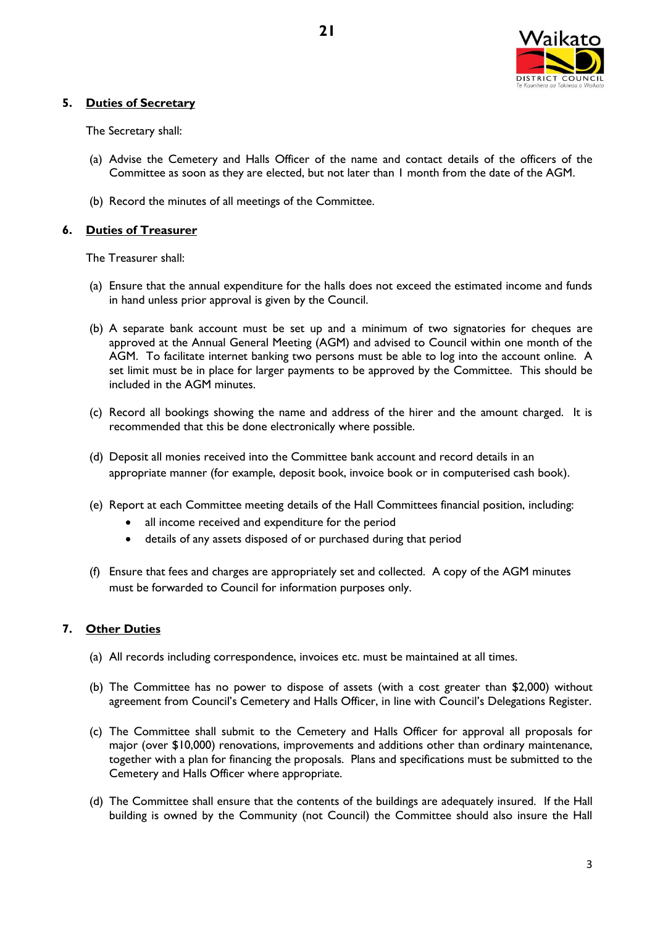

## **5. Duties of Secretary**

The Secretary shall:

- (a) Advise the Cemetery and Halls Officer of the name and contact details of the officers of the Committee as soon as they are elected, but not later than 1 month from the date of the AGM.
- (b) Record the minutes of all meetings of the Committee.

## **6. Duties of Treasurer**

The Treasurer shall:

- (a) Ensure that the annual expenditure for the halls does not exceed the estimated income and funds in hand unless prior approval is given by the Council.
- (b) A separate bank account must be set up and a minimum of two signatories for cheques are approved at the Annual General Meeting (AGM) and advised to Council within one month of the AGM. To facilitate internet banking two persons must be able to log into the account online. A set limit must be in place for larger payments to be approved by the Committee. This should be included in the AGM minutes.
- (c) Record all bookings showing the name and address of the hirer and the amount charged. It is recommended that this be done electronically where possible.
- (d) Deposit all monies received into the Committee bank account and record details in an appropriate manner (for example, deposit book, invoice book or in computerised cash book).
- (e) Report at each Committee meeting details of the Hall Committees financial position, including:
	- all income received and expenditure for the period
	- details of any assets disposed of or purchased during that period
- (f) Ensure that fees and charges are appropriately set and collected. A copy of the AGM minutes must be forwarded to Council for information purposes only.

## **7. Other Duties**

- (a) All records including correspondence, invoices etc. must be maintained at all times.
- (b) The Committee has no power to dispose of assets (with a cost greater than \$2,000) without agreement from Council's Cemetery and Halls Officer, in line with Council's Delegations Register.
- (c) The Committee shall submit to the Cemetery and Halls Officer for approval all proposals for major (over \$10,000) renovations, improvements and additions other than ordinary maintenance, together with a plan for financing the proposals. Plans and specifications must be submitted to the Cemetery and Halls Officer where appropriate.
- (d) The Committee shall ensure that the contents of the buildings are adequately insured. If the Hall building is owned by the Community (not Council) the Committee should also insure the Hall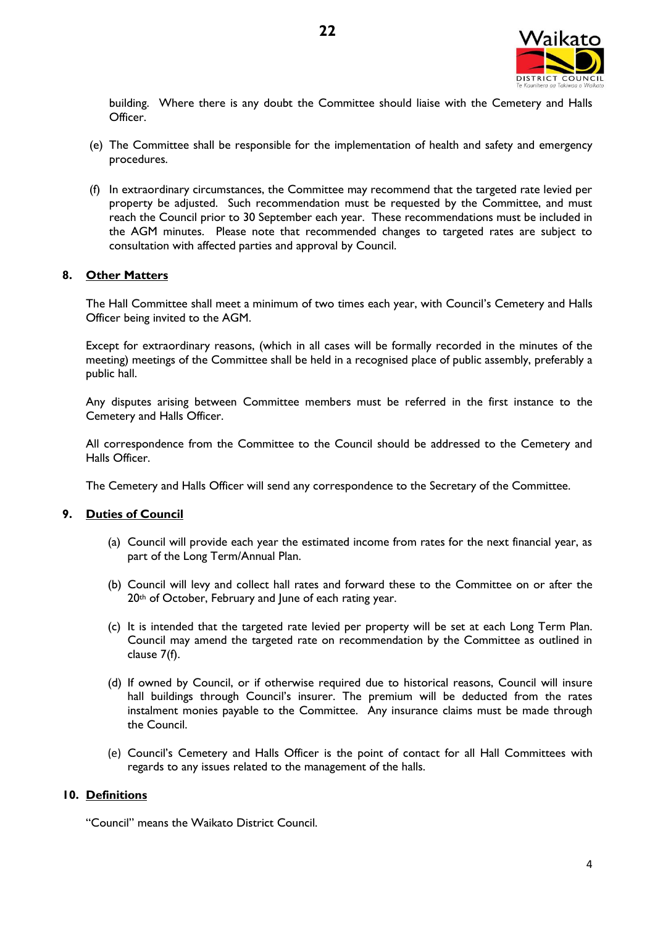

building. Where there is any doubt the Committee should liaise with the Cemetery and Halls Officer.

- (e) The Committee shall be responsible for the implementation of health and safety and emergency procedures.
- (f) In extraordinary circumstances, the Committee may recommend that the targeted rate levied per property be adjusted. Such recommendation must be requested by the Committee, and must reach the Council prior to 30 September each year. These recommendations must be included in the AGM minutes. Please note that recommended changes to targeted rates are subject to consultation with affected parties and approval by Council.

## **8. Other Matters**

The Hall Committee shall meet a minimum of two times each year, with Council's Cemetery and Halls Officer being invited to the AGM.

Except for extraordinary reasons, (which in all cases will be formally recorded in the minutes of the meeting) meetings of the Committee shall be held in a recognised place of public assembly, preferably a public hall.

Any disputes arising between Committee members must be referred in the first instance to the Cemetery and Halls Officer.

All correspondence from the Committee to the Council should be addressed to the Cemetery and Halls Officer.

The Cemetery and Halls Officer will send any correspondence to the Secretary of the Committee.

### **9. Duties of Council**

- (a) Council will provide each year the estimated income from rates for the next financial year, as part of the Long Term/Annual Plan.
- (b) Council will levy and collect hall rates and forward these to the Committee on or after the 20<sup>th</sup> of October, February and lune of each rating year.
- (c) It is intended that the targeted rate levied per property will be set at each Long Term Plan. Council may amend the targeted rate on recommendation by the Committee as outlined in clause 7(f).
- (d) If owned by Council, or if otherwise required due to historical reasons, Council will insure hall buildings through Council's insurer. The premium will be deducted from the rates instalment monies payable to the Committee. Any insurance claims must be made through the Council.
- (e) Council's Cemetery and Halls Officer is the point of contact for all Hall Committees with regards to any issues related to the management of the halls.

## **10. Definitions**

"Council" means the Waikato District Council.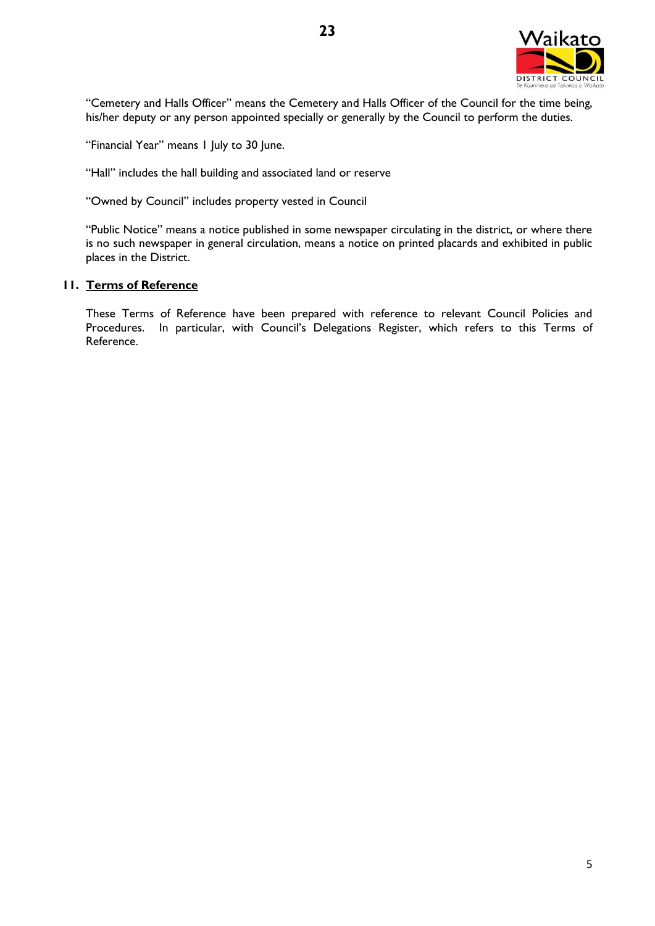

"Cemetery and Halls Officer" means the Cemetery and Halls Officer of the Council for the time being, his/her deputy or any person appointed specially or generally by the Council to perform the duties.

"Financial Year" means 1 July to 30 June.

"Hall" includes the hall building and associated land or reserve

"Owned by Council" includes property vested in Council

"Public Notice" means a notice published in some newspaper circulating in the district, or where there is no such newspaper in general circulation, means a notice on printed placards and exhibited in public places in the District.

## **11. Terms of Reference**

These Terms of Reference have been prepared with reference to relevant Council Policies and Procedures. In particular, with Council's Delegations Register, which refers to this Terms of Reference.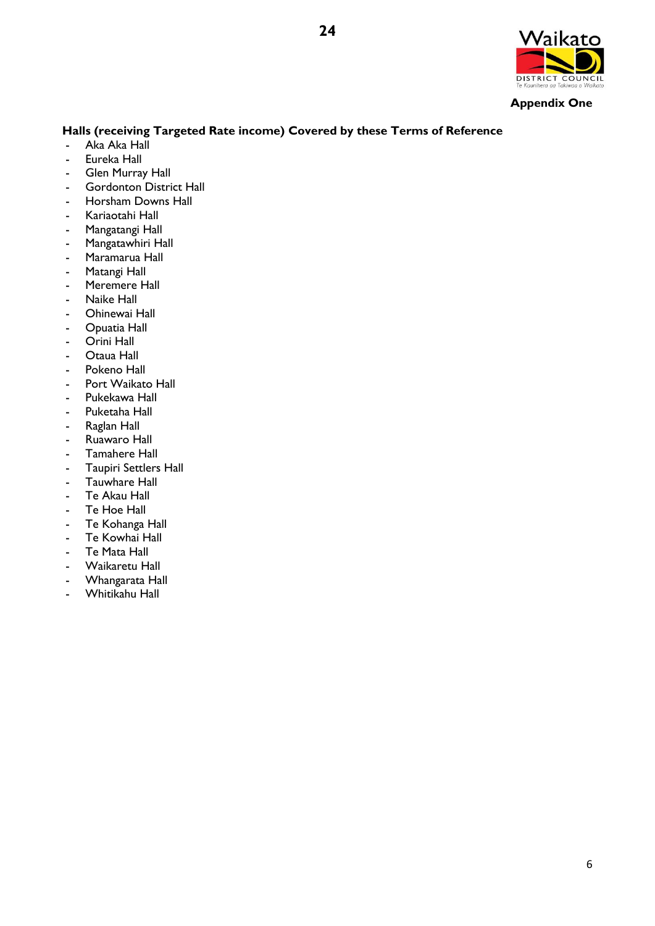

**Appendix One** 

## **Halls (receiving Targeted Rate income) Covered by these Terms of Reference**

- Aka Aka Hall
- Eureka Hall
- Glen Murray Hall
- Gordonton District Hall
- Horsham Downs Hall
- Kariaotahi Hall
- Mangatangi Hall
- Mangatawhiri Hall
- Maramarua Hall
- Matangi Hall
- Meremere Hall
- Naike Hall
- Ohinewai Hall
- Opuatia Hall
- Orini Hall
- Otaua Hall
- Pokeno Hall
- Port Waikato Hall
- Pukekawa Hall
- Puketaha Hall
- Raglan Hall
- Ruawaro Hall
- Tamahere Hall
- Taupiri Settlers Hall
- Tauwhare Hall
- Te Akau Hall
- Te Hoe Hall
- Te Kohanga Hall
- Te Kowhai Hall
- Te Mata Hall
- Waikaretu Hall
- Whangarata Hall
- Whitikahu Hall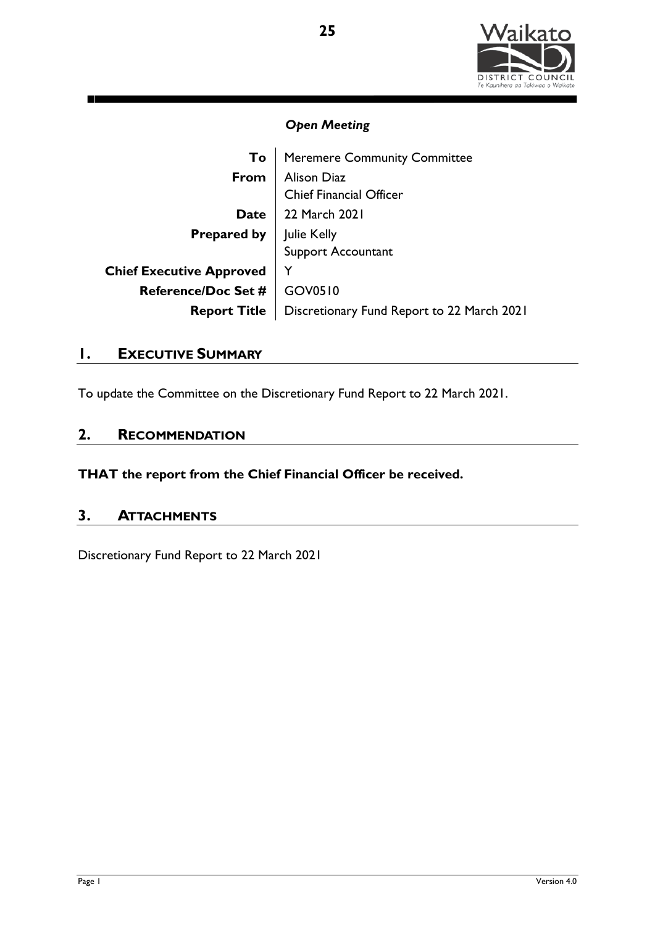

| To                              | <b>Meremere Community Committee</b>                  |
|---------------------------------|------------------------------------------------------|
| From                            | Alison Diaz<br>Chief Financial Officer               |
|                                 |                                                      |
| <b>Date</b>                     | 22 March 2021                                        |
|                                 | <b>Prepared by</b> Julie Kelly<br>Support Accountant |
|                                 |                                                      |
| <b>Chief Executive Approved</b> |                                                      |
| <b>Reference/Doc Set #</b>      | GOV0510                                              |
| <b>Report Title</b>             | Discretionary Fund Report to 22 March 2021           |

# **1. EXECUTIVE SUMMARY**

To update the Committee on the Discretionary Fund Report to 22 March 2021.

# **2. RECOMMENDATION**

**THAT the report from the Chief Financial Officer be received.**

# **3. ATTACHMENTS**

Discretionary Fund Report to 22 March 2021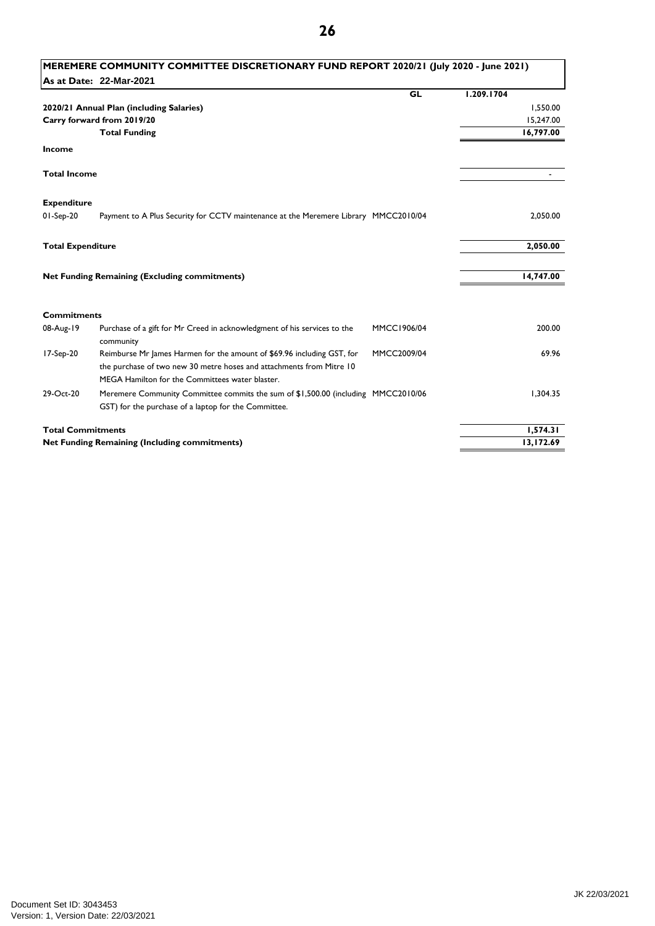| As at Date: 22-Mar-2021<br><b>GL</b><br>2020/21 Annual Plan (including Salaries)<br>Carry forward from 2019/20          | 1.209.1704<br>1,550.00<br>15,247.00 |
|-------------------------------------------------------------------------------------------------------------------------|-------------------------------------|
|                                                                                                                         |                                     |
|                                                                                                                         |                                     |
|                                                                                                                         |                                     |
|                                                                                                                         |                                     |
| <b>Total Funding</b>                                                                                                    | 16,797.00                           |
| Income                                                                                                                  |                                     |
| <b>Total Income</b>                                                                                                     |                                     |
| <b>Expenditure</b>                                                                                                      |                                     |
| $01-Sep-20$<br>Payment to A Plus Security for CCTV maintenance at the Meremere Library MMCC2010/04                      | 2,050.00                            |
| <b>Total Expenditure</b>                                                                                                | 2,050.00                            |
| <b>Net Funding Remaining (Excluding commitments)</b>                                                                    | 14,747.00                           |
|                                                                                                                         |                                     |
| <b>Commitments</b>                                                                                                      |                                     |
| Purchase of a gift for Mr Creed in acknowledgment of his services to the<br>08-Aug-19<br>MMCC1906/04<br>community       | 200.00                              |
| Reimburse Mr James Harmen for the amount of \$69.96 including GST, for<br>17-Sep-20<br>MMCC2009/04                      | 69.96                               |
| the purchase of two new 30 metre hoses and attachments from Mitre 10<br>MEGA Hamilton for the Committees water blaster. |                                     |
| 29-Oct-20<br>Meremere Community Committee commits the sum of \$1,500.00 (including MMCC2010/06                          | 1.304.35                            |
| GST) for the purchase of a laptop for the Committee.                                                                    |                                     |
| <b>Total Commitments</b>                                                                                                | 1,574.31                            |
| <b>Net Funding Remaining (Including commitments)</b>                                                                    | 13,172.69                           |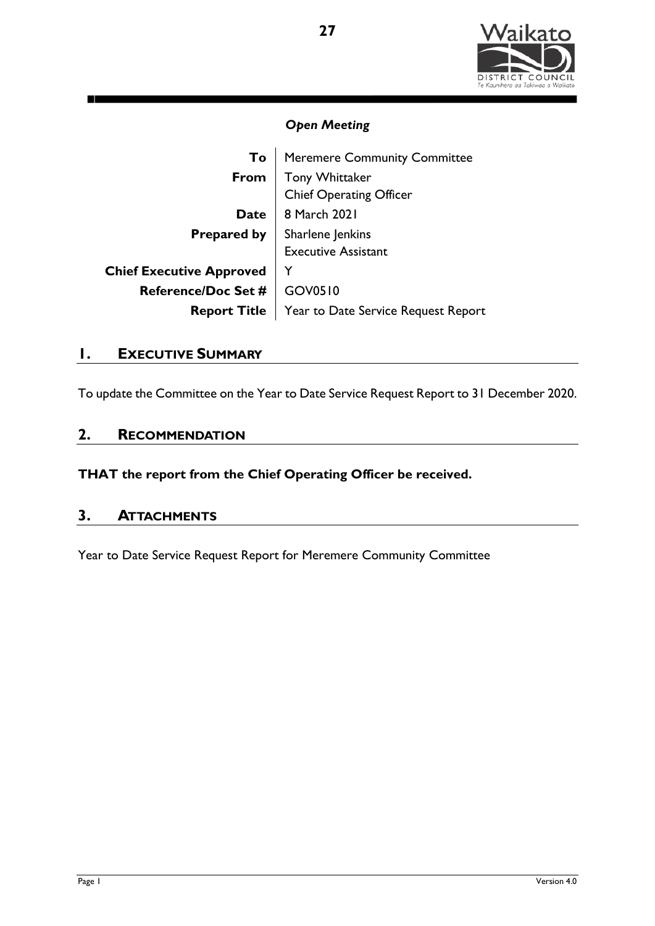

| To                              | <b>Meremere Community Committee</b>       |  |  |  |
|---------------------------------|-------------------------------------------|--|--|--|
| From                            | Tony Whittaker<br>Chief Operating Officer |  |  |  |
|                                 |                                           |  |  |  |
| <b>Date</b>                     | 8 March 2021                              |  |  |  |
|                                 | <b>Prepared by</b>   Sharlene Jenkins     |  |  |  |
|                                 | <b>Executive Assistant</b>                |  |  |  |
| <b>Chief Executive Approved</b> |                                           |  |  |  |
| <b>Reference/Doc Set #</b>      | GOV0510                                   |  |  |  |
| <b>Report Title</b>             | Year to Date Service Request Report       |  |  |  |

# **1. EXECUTIVE SUMMARY**

To update the Committee on the Year to Date Service Request Report to 31 December 2020.

# **2. RECOMMENDATION**

**THAT the report from the Chief Operating Officer be received.**

# **3. ATTACHMENTS**

Year to Date Service Request Report for Meremere Community Committee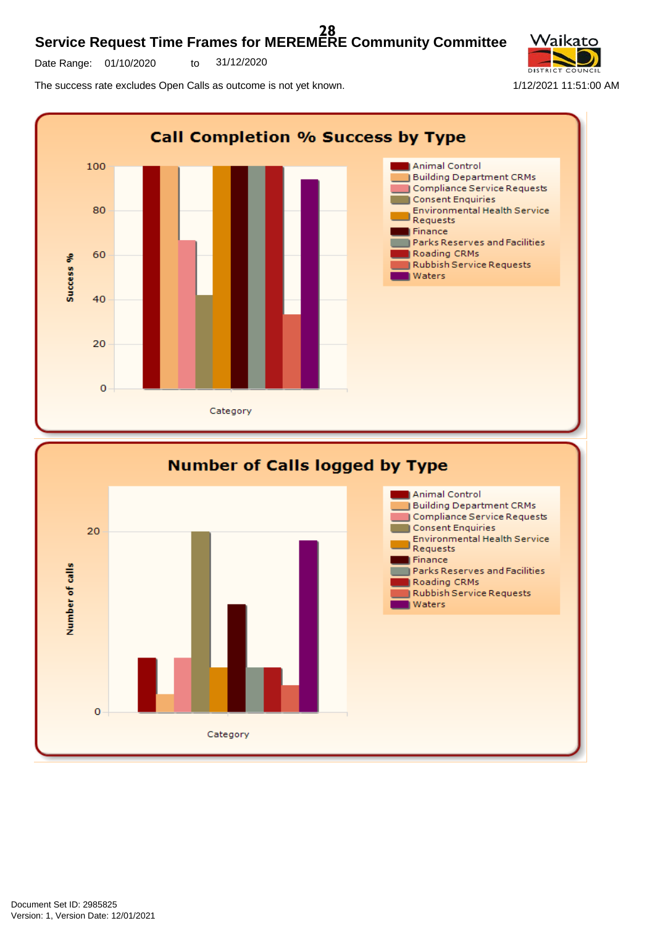#### **Service Request Time Frames for MEREMERE Community Committee 28**

Date Range: 01/10/2020 to 31/12/2020

Category

The success rate excludes Open Calls as outcome is not yet known. 1/12/2021 11:51:00 AM



 $\overline{0}$ 

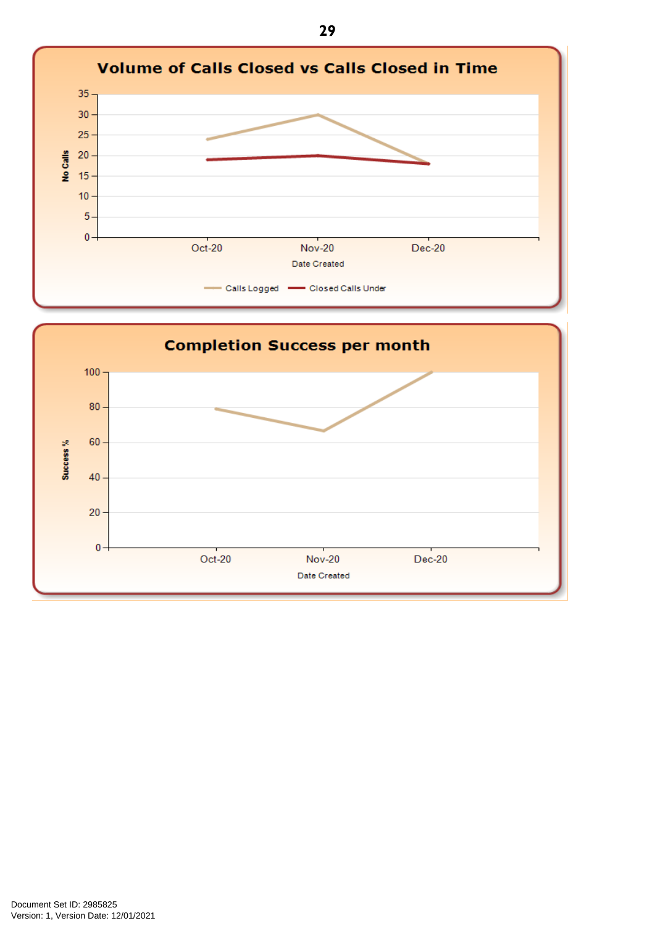

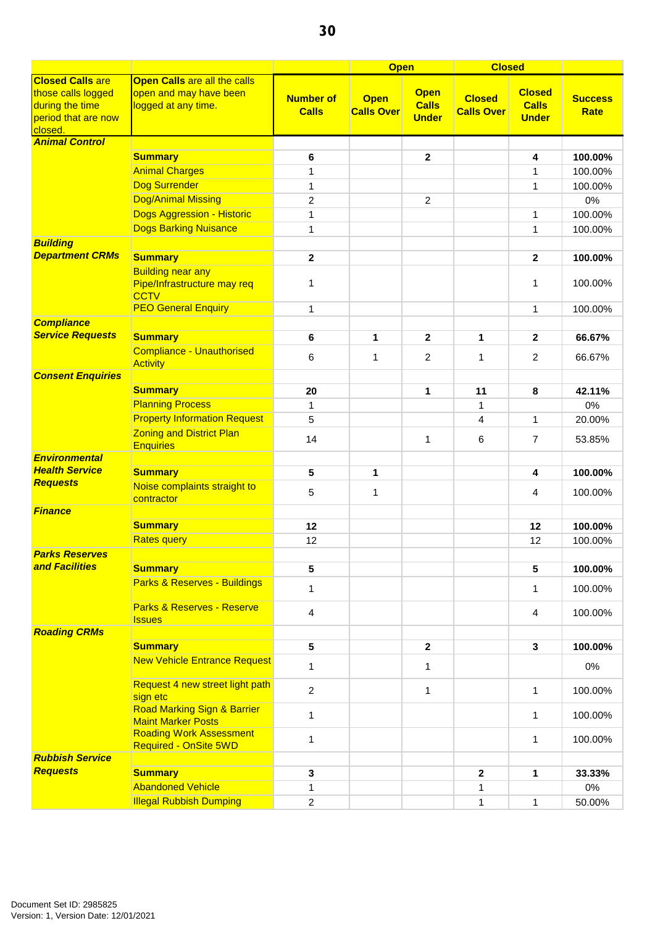|                                                                                                    |                                                                               |                                  | <b>Open</b>                      |                                             | <b>Closed</b>                      |                                               |                               |
|----------------------------------------------------------------------------------------------------|-------------------------------------------------------------------------------|----------------------------------|----------------------------------|---------------------------------------------|------------------------------------|-----------------------------------------------|-------------------------------|
| <b>Closed Calls are</b><br>those calls logged<br>during the time<br>period that are now<br>closed. | Open Calls are all the calls<br>open and may have been<br>logged at any time. | <b>Number of</b><br><b>Calls</b> | <b>Open</b><br><b>Calls Over</b> | <b>Open</b><br><b>Calls</b><br><b>Under</b> | <b>Closed</b><br><b>Calls Over</b> | <b>Closed</b><br><b>Calls</b><br><b>Under</b> | <b>Success</b><br><b>Rate</b> |
| <b>Animal Control</b>                                                                              |                                                                               |                                  |                                  |                                             |                                    |                                               |                               |
|                                                                                                    | <b>Summary</b>                                                                | 6                                |                                  | $\mathbf{2}$                                |                                    | 4                                             | 100.00%                       |
|                                                                                                    | <b>Animal Charges</b>                                                         | 1                                |                                  |                                             |                                    | 1                                             | 100.00%                       |
|                                                                                                    | <b>Dog Surrender</b>                                                          | 1                                |                                  |                                             |                                    | 1                                             | 100.00%                       |
|                                                                                                    | <b>Dog/Animal Missing</b>                                                     | 2                                |                                  | $\overline{c}$                              |                                    |                                               | 0%                            |
|                                                                                                    | <b>Dogs Aggression - Historic</b>                                             | 1                                |                                  |                                             |                                    | 1                                             | 100.00%                       |
|                                                                                                    | <b>Dogs Barking Nuisance</b>                                                  | $\mathbf{1}$                     |                                  |                                             |                                    | 1                                             | 100.00%                       |
| <b>Building</b>                                                                                    |                                                                               |                                  |                                  |                                             |                                    |                                               |                               |
| <b>Department CRMs</b>                                                                             | <b>Summary</b>                                                                | $\mathbf 2$                      |                                  |                                             |                                    | $\mathbf{2}$                                  | 100.00%                       |
|                                                                                                    | <b>Building near any</b>                                                      |                                  |                                  |                                             |                                    |                                               |                               |
|                                                                                                    | Pipe/Infrastructure may req<br><b>CCTV</b>                                    | 1                                |                                  |                                             |                                    | 1                                             | 100.00%                       |
|                                                                                                    | <b>PEO General Enquiry</b>                                                    | 1                                |                                  |                                             |                                    | 1                                             | 100.00%                       |
| <b>Compliance</b>                                                                                  |                                                                               |                                  |                                  |                                             |                                    |                                               |                               |
| <b>Service Requests</b>                                                                            | <b>Summary</b>                                                                | 6                                | 1                                | $\mathbf{2}$                                | 1                                  | $\mathbf{2}$                                  | 66.67%                        |
|                                                                                                    | <b>Compliance - Unauthorised</b><br><b>Activity</b>                           | 6                                | 1                                | $\overline{2}$                              | 1                                  | 2                                             | 66.67%                        |
| <b>Consent Enquiries</b>                                                                           |                                                                               |                                  |                                  |                                             |                                    |                                               |                               |
|                                                                                                    | <b>Summary</b>                                                                | 20                               |                                  | 1                                           | 11                                 | 8                                             | 42.11%                        |
|                                                                                                    | <b>Planning Process</b>                                                       | 1                                |                                  |                                             | $\mathbf{1}$                       |                                               | 0%                            |
|                                                                                                    | <b>Property Information Request</b>                                           | 5                                |                                  |                                             | $\overline{4}$                     | $\mathbf{1}$                                  | 20.00%                        |
|                                                                                                    | <b>Zoning and District Plan</b><br><b>Enquiries</b>                           | 14                               |                                  | 1                                           | 6                                  | 7                                             | 53.85%                        |
| <b>Environmental</b>                                                                               |                                                                               |                                  |                                  |                                             |                                    |                                               |                               |
| <b>Health Service</b>                                                                              | <b>Summary</b>                                                                | 5                                | 1                                |                                             |                                    | 4                                             | 100.00%                       |
| <b>Requests</b>                                                                                    | Noise complaints straight to<br>contractor                                    | 5                                | 1                                |                                             |                                    | 4                                             | 100.00%                       |
| <b>Finance</b>                                                                                     |                                                                               |                                  |                                  |                                             |                                    |                                               |                               |
|                                                                                                    | <b>Summary</b>                                                                | 12                               |                                  |                                             |                                    | 12                                            | 100.00%                       |
|                                                                                                    | <b>Rates query</b>                                                            | 12                               |                                  |                                             |                                    | 12                                            | 100.00%                       |
| <b>Parks Reserves</b><br>and Facilities                                                            |                                                                               |                                  |                                  |                                             |                                    |                                               |                               |
|                                                                                                    | <b>Summary</b>                                                                | 5                                |                                  |                                             |                                    | 5                                             | 100.00%                       |
|                                                                                                    | Parks & Reserves - Buildings<br>Parks & Reserves - Reserve                    | 1                                |                                  |                                             |                                    | 1                                             | 100.00%                       |
|                                                                                                    | <b>Issues</b>                                                                 | 4                                |                                  |                                             |                                    | 4                                             | 100.00%                       |
| <b>Roading CRMs</b>                                                                                |                                                                               |                                  |                                  |                                             |                                    |                                               |                               |
|                                                                                                    | <b>Summary</b>                                                                | 5                                |                                  | $\mathbf{2}$                                |                                    | 3                                             | 100.00%                       |
|                                                                                                    | <b>New Vehicle Entrance Request</b>                                           | $\mathbf{1}$                     |                                  | 1                                           |                                    |                                               | 0%                            |
|                                                                                                    | Request 4 new street light path<br>sign etc                                   | $\overline{2}$                   |                                  | $\mathbf{1}$                                |                                    | $\mathbf{1}$                                  | 100.00%                       |
|                                                                                                    | <b>Road Marking Sign &amp; Barrier</b><br><b>Maint Marker Posts</b>           | $\mathbf{1}$                     |                                  |                                             |                                    | 1                                             | 100.00%                       |
|                                                                                                    | <b>Roading Work Assessment</b><br><b>Required - OnSite 5WD</b>                | 1                                |                                  |                                             |                                    | 1                                             | 100.00%                       |
| <b>Rubbish Service</b><br><b>Requests</b>                                                          |                                                                               |                                  |                                  |                                             |                                    |                                               |                               |
|                                                                                                    | <b>Summary</b>                                                                | 3                                |                                  |                                             | $\mathbf{2}$                       | 1                                             | 33.33%                        |
|                                                                                                    | <b>Abandoned Vehicle</b>                                                      | 1                                |                                  |                                             | 1                                  |                                               | 0%                            |
|                                                                                                    | <b>Illegal Rubbish Dumping</b>                                                | $\overline{c}$                   |                                  |                                             | 1                                  | $\mathbf{1}$                                  | 50.00%                        |